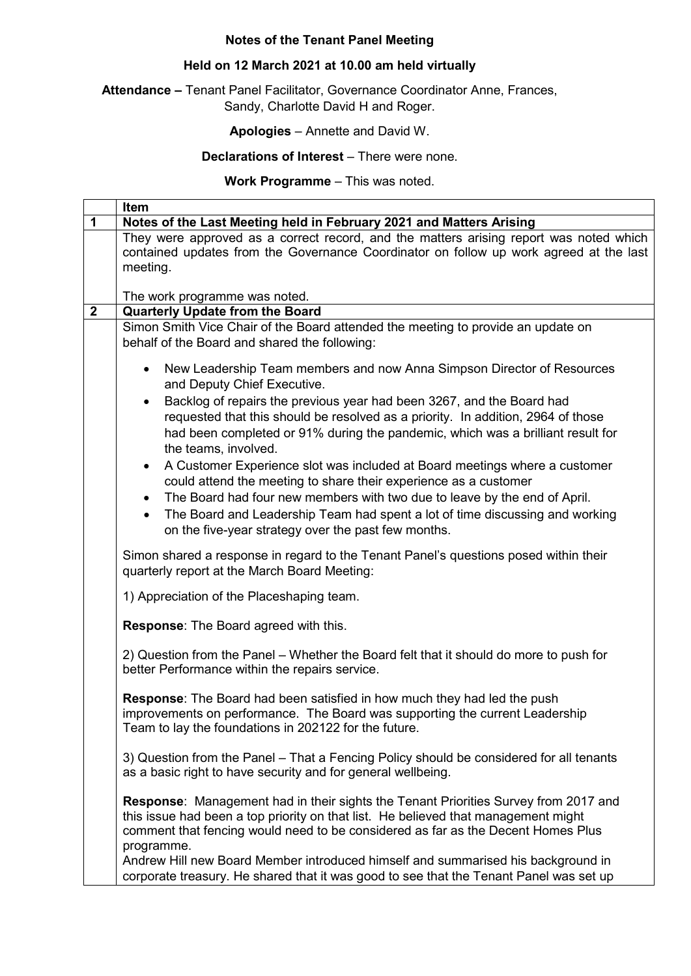## **Notes of the Tenant Panel Meeting**

## **Held on 12 March 2021 at 10.00 am held virtually**

**Attendance –** Tenant Panel Facilitator, Governance Coordinator Anne, Frances, Sandy, Charlotte David H and Roger.

**Apologies** – Annette and David W.

**Declarations of Interest** – There were none.

**Work Programme** – This was noted.

|                | Item                                                                                                                                                                                                                                                                               |
|----------------|------------------------------------------------------------------------------------------------------------------------------------------------------------------------------------------------------------------------------------------------------------------------------------|
| 1              | Notes of the Last Meeting held in February 2021 and Matters Arising                                                                                                                                                                                                                |
|                | They were approved as a correct record, and the matters arising report was noted which<br>contained updates from the Governance Coordinator on follow up work agreed at the last<br>meeting.                                                                                       |
|                | The work programme was noted.                                                                                                                                                                                                                                                      |
| $\overline{2}$ | <b>Quarterly Update from the Board</b>                                                                                                                                                                                                                                             |
|                | Simon Smith Vice Chair of the Board attended the meeting to provide an update on<br>behalf of the Board and shared the following:                                                                                                                                                  |
|                | New Leadership Team members and now Anna Simpson Director of Resources<br>$\bullet$<br>and Deputy Chief Executive.                                                                                                                                                                 |
|                | Backlog of repairs the previous year had been 3267, and the Board had<br>$\bullet$<br>requested that this should be resolved as a priority. In addition, 2964 of those                                                                                                             |
|                | had been completed or 91% during the pandemic, which was a brilliant result for<br>the teams, involved.                                                                                                                                                                            |
|                | A Customer Experience slot was included at Board meetings where a customer<br>$\bullet$<br>could attend the meeting to share their experience as a customer                                                                                                                        |
|                | The Board had four new members with two due to leave by the end of April.<br>$\bullet$<br>The Board and Leadership Team had spent a lot of time discussing and working<br>$\bullet$<br>on the five-year strategy over the past few months.                                         |
|                | Simon shared a response in regard to the Tenant Panel's questions posed within their<br>quarterly report at the March Board Meeting:                                                                                                                                               |
|                | 1) Appreciation of the Placeshaping team.                                                                                                                                                                                                                                          |
|                | <b>Response:</b> The Board agreed with this.                                                                                                                                                                                                                                       |
|                | 2) Question from the Panel - Whether the Board felt that it should do more to push for<br>better Performance within the repairs service.                                                                                                                                           |
|                | Response: The Board had been satisfied in how much they had led the push<br>improvements on performance. The Board was supporting the current Leadership<br>Team to lay the foundations in 202122 for the future.                                                                  |
|                | 3) Question from the Panel – That a Fencing Policy should be considered for all tenants<br>as a basic right to have security and for general wellbeing.                                                                                                                            |
|                | <b>Response:</b> Management had in their sights the Tenant Priorities Survey from 2017 and<br>this issue had been a top priority on that list. He believed that management might<br>comment that fencing would need to be considered as far as the Decent Homes Plus<br>programme. |
|                | Andrew Hill new Board Member introduced himself and summarised his background in<br>corporate treasury. He shared that it was good to see that the Tenant Panel was set up                                                                                                         |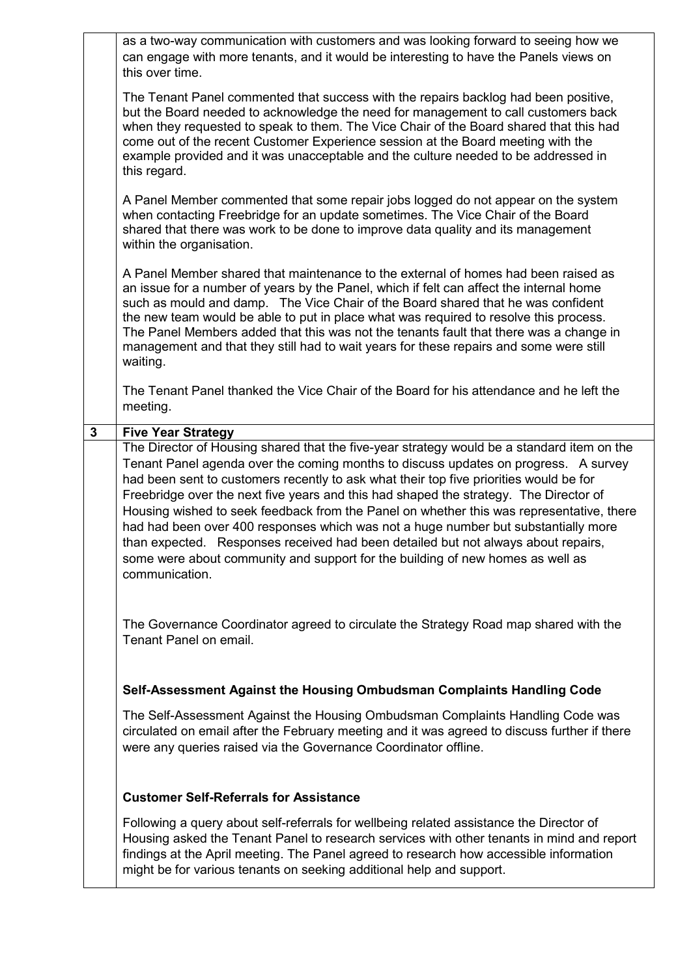|   | as a two-way communication with customers and was looking forward to seeing how we<br>can engage with more tenants, and it would be interesting to have the Panels views on<br>this over time.                                                                                                                                                                                                                                                                                                                                                                                                                                                                                                                                                  |
|---|-------------------------------------------------------------------------------------------------------------------------------------------------------------------------------------------------------------------------------------------------------------------------------------------------------------------------------------------------------------------------------------------------------------------------------------------------------------------------------------------------------------------------------------------------------------------------------------------------------------------------------------------------------------------------------------------------------------------------------------------------|
|   | The Tenant Panel commented that success with the repairs backlog had been positive,<br>but the Board needed to acknowledge the need for management to call customers back<br>when they requested to speak to them. The Vice Chair of the Board shared that this had<br>come out of the recent Customer Experience session at the Board meeting with the<br>example provided and it was unacceptable and the culture needed to be addressed in<br>this regard.                                                                                                                                                                                                                                                                                   |
|   | A Panel Member commented that some repair jobs logged do not appear on the system<br>when contacting Freebridge for an update sometimes. The Vice Chair of the Board<br>shared that there was work to be done to improve data quality and its management<br>within the organisation.                                                                                                                                                                                                                                                                                                                                                                                                                                                            |
|   | A Panel Member shared that maintenance to the external of homes had been raised as<br>an issue for a number of years by the Panel, which if felt can affect the internal home<br>such as mould and damp. The Vice Chair of the Board shared that he was confident<br>the new team would be able to put in place what was required to resolve this process.<br>The Panel Members added that this was not the tenants fault that there was a change in<br>management and that they still had to wait years for these repairs and some were still<br>waiting.                                                                                                                                                                                      |
|   | The Tenant Panel thanked the Vice Chair of the Board for his attendance and he left the<br>meeting.                                                                                                                                                                                                                                                                                                                                                                                                                                                                                                                                                                                                                                             |
| 3 | <b>Five Year Strategy</b>                                                                                                                                                                                                                                                                                                                                                                                                                                                                                                                                                                                                                                                                                                                       |
|   | The Director of Housing shared that the five-year strategy would be a standard item on the<br>Tenant Panel agenda over the coming months to discuss updates on progress. A survey<br>had been sent to customers recently to ask what their top five priorities would be for<br>Freebridge over the next five years and this had shaped the strategy. The Director of<br>Housing wished to seek feedback from the Panel on whether this was representative, there<br>had had been over 400 responses which was not a huge number but substantially more<br>than expected. Responses received had been detailed but not always about repairs,<br>some were about community and support for the building of new homes as well as<br>communication. |
|   | The Governance Coordinator agreed to circulate the Strategy Road map shared with the<br>Tenant Panel on email.                                                                                                                                                                                                                                                                                                                                                                                                                                                                                                                                                                                                                                  |
|   | Self-Assessment Against the Housing Ombudsman Complaints Handling Code                                                                                                                                                                                                                                                                                                                                                                                                                                                                                                                                                                                                                                                                          |
|   | The Self-Assessment Against the Housing Ombudsman Complaints Handling Code was<br>circulated on email after the February meeting and it was agreed to discuss further if there<br>were any queries raised via the Governance Coordinator offline.                                                                                                                                                                                                                                                                                                                                                                                                                                                                                               |
|   | <b>Customer Self-Referrals for Assistance</b>                                                                                                                                                                                                                                                                                                                                                                                                                                                                                                                                                                                                                                                                                                   |
|   | Following a query about self-referrals for wellbeing related assistance the Director of<br>Housing asked the Tenant Panel to research services with other tenants in mind and report<br>findings at the April meeting. The Panel agreed to research how accessible information<br>might be for various tenants on seeking additional help and support.                                                                                                                                                                                                                                                                                                                                                                                          |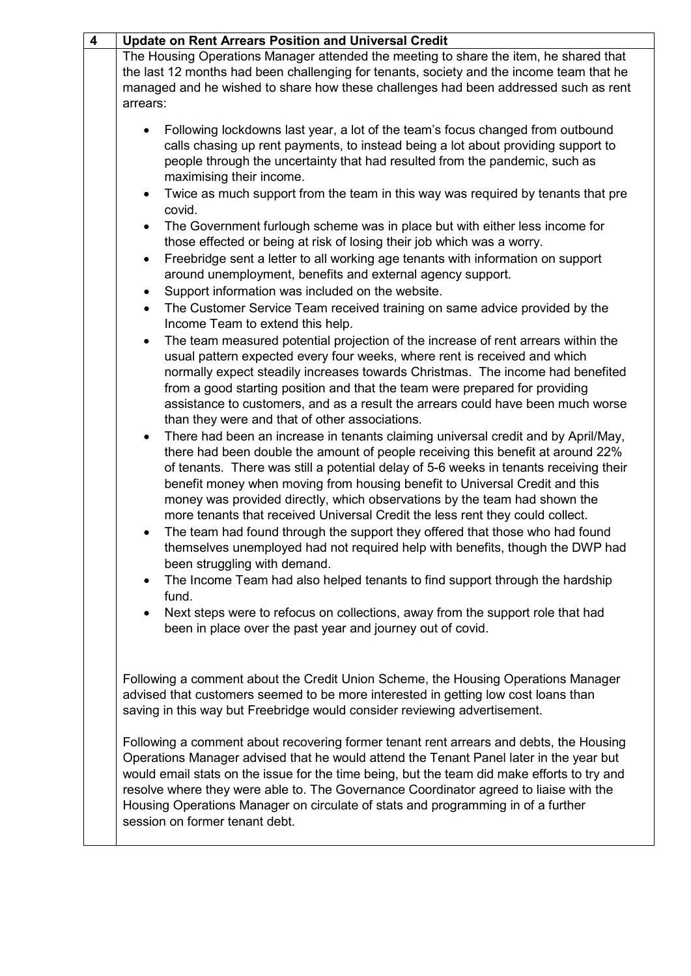| $\overline{\mathbf{4}}$ | <b>Update on Rent Arrears Position and Universal Credit</b>                                                                                                                                                                                                                                                                                                                                                                                                                                                                                                                                                                                                                                                                                                                                                                                 |
|-------------------------|---------------------------------------------------------------------------------------------------------------------------------------------------------------------------------------------------------------------------------------------------------------------------------------------------------------------------------------------------------------------------------------------------------------------------------------------------------------------------------------------------------------------------------------------------------------------------------------------------------------------------------------------------------------------------------------------------------------------------------------------------------------------------------------------------------------------------------------------|
|                         | The Housing Operations Manager attended the meeting to share the item, he shared that<br>the last 12 months had been challenging for tenants, society and the income team that he<br>managed and he wished to share how these challenges had been addressed such as rent<br>arrears:                                                                                                                                                                                                                                                                                                                                                                                                                                                                                                                                                        |
|                         | Following lockdowns last year, a lot of the team's focus changed from outbound<br>calls chasing up rent payments, to instead being a lot about providing support to<br>people through the uncertainty that had resulted from the pandemic, such as<br>maximising their income.<br>Twice as much support from the team in this way was required by tenants that pre<br>$\bullet$<br>covid.<br>The Government furlough scheme was in place but with either less income for<br>$\bullet$<br>those effected or being at risk of losing their job which was a worry.<br>Freebridge sent a letter to all working age tenants with information on support<br>$\bullet$                                                                                                                                                                             |
|                         | around unemployment, benefits and external agency support.                                                                                                                                                                                                                                                                                                                                                                                                                                                                                                                                                                                                                                                                                                                                                                                  |
|                         | Support information was included on the website.<br>$\bullet$                                                                                                                                                                                                                                                                                                                                                                                                                                                                                                                                                                                                                                                                                                                                                                               |
|                         | The Customer Service Team received training on same advice provided by the<br>$\bullet$                                                                                                                                                                                                                                                                                                                                                                                                                                                                                                                                                                                                                                                                                                                                                     |
|                         | Income Team to extend this help.<br>The team measured potential projection of the increase of rent arrears within the<br>$\bullet$<br>usual pattern expected every four weeks, where rent is received and which<br>normally expect steadily increases towards Christmas. The income had benefited<br>from a good starting position and that the team were prepared for providing<br>assistance to customers, and as a result the arrears could have been much worse<br>than they were and that of other associations.                                                                                                                                                                                                                                                                                                                       |
|                         | There had been an increase in tenants claiming universal credit and by April/May,<br>$\bullet$<br>there had been double the amount of people receiving this benefit at around 22%<br>of tenants. There was still a potential delay of 5-6 weeks in tenants receiving their<br>benefit money when moving from housing benefit to Universal Credit and this<br>money was provided directly, which observations by the team had shown the<br>more tenants that received Universal Credit the less rent they could collect.<br>The team had found through the support they offered that those who had found<br>$\bullet$<br>themselves unemployed had not required help with benefits, though the DWP had<br>been struggling with demand.<br>The Income Team had also helped tenants to find support through the hardship<br>$\bullet$<br>fund. |
|                         | Next steps were to refocus on collections, away from the support role that had<br>$\bullet$                                                                                                                                                                                                                                                                                                                                                                                                                                                                                                                                                                                                                                                                                                                                                 |
|                         | been in place over the past year and journey out of covid.<br>Following a comment about the Credit Union Scheme, the Housing Operations Manager<br>advised that customers seemed to be more interested in getting low cost loans than<br>saving in this way but Freebridge would consider reviewing advertisement.<br>Following a comment about recovering former tenant rent arrears and debts, the Housing<br>Operations Manager advised that he would attend the Tenant Panel later in the year but<br>would email stats on the issue for the time being, but the team did make efforts to try and<br>resolve where they were able to. The Governance Coordinator agreed to liaise with the<br>Housing Operations Manager on circulate of stats and programming in of a further<br>session on former tenant debt.                        |
|                         |                                                                                                                                                                                                                                                                                                                                                                                                                                                                                                                                                                                                                                                                                                                                                                                                                                             |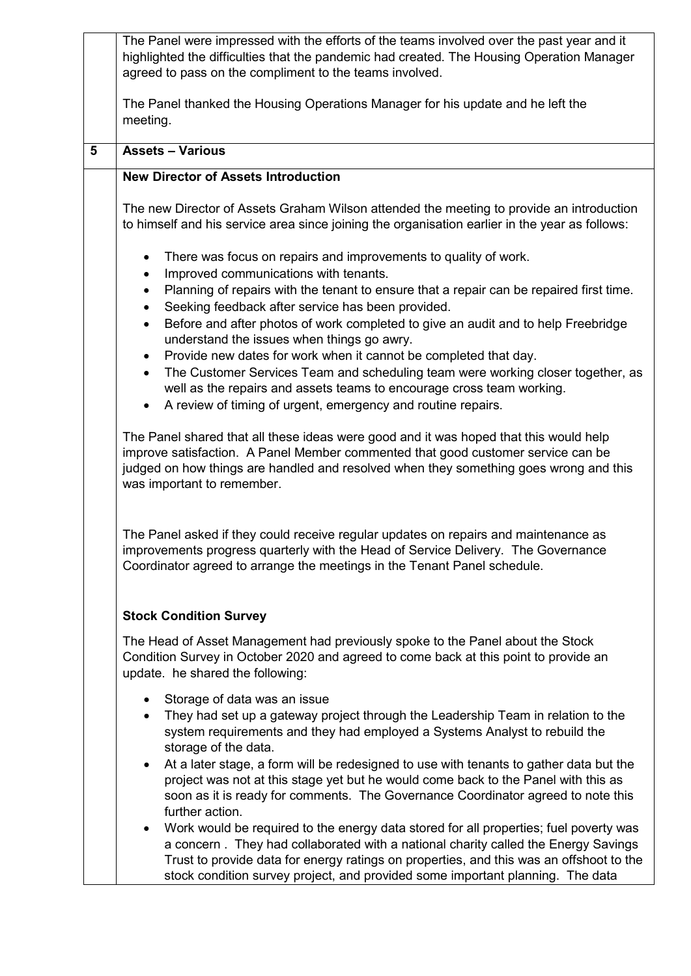|   | The Panel were impressed with the efforts of the teams involved over the past year and it<br>highlighted the difficulties that the pandemic had created. The Housing Operation Manager<br>agreed to pass on the compliment to the teams involved.                                                                                                                     |
|---|-----------------------------------------------------------------------------------------------------------------------------------------------------------------------------------------------------------------------------------------------------------------------------------------------------------------------------------------------------------------------|
|   | The Panel thanked the Housing Operations Manager for his update and he left the<br>meeting.                                                                                                                                                                                                                                                                           |
| 5 | <b>Assets - Various</b>                                                                                                                                                                                                                                                                                                                                               |
|   | <b>New Director of Assets Introduction</b>                                                                                                                                                                                                                                                                                                                            |
|   | The new Director of Assets Graham Wilson attended the meeting to provide an introduction<br>to himself and his service area since joining the organisation earlier in the year as follows:                                                                                                                                                                            |
|   | There was focus on repairs and improvements to quality of work.<br>$\bullet$<br>Improved communications with tenants.<br>$\bullet$<br>Planning of repairs with the tenant to ensure that a repair can be repaired first time.<br>$\bullet$                                                                                                                            |
|   | Seeking feedback after service has been provided.<br>$\bullet$<br>Before and after photos of work completed to give an audit and to help Freebridge<br>$\bullet$<br>understand the issues when things go awry.<br>Provide new dates for work when it cannot be completed that day.<br>$\bullet$                                                                       |
|   | The Customer Services Team and scheduling team were working closer together, as<br>$\bullet$<br>well as the repairs and assets teams to encourage cross team working.<br>A review of timing of urgent, emergency and routine repairs.<br>$\bullet$                                                                                                                    |
|   | The Panel shared that all these ideas were good and it was hoped that this would help<br>improve satisfaction. A Panel Member commented that good customer service can be<br>judged on how things are handled and resolved when they something goes wrong and this<br>was important to remember.                                                                      |
|   | The Panel asked if they could receive regular updates on repairs and maintenance as<br>improvements progress quarterly with the Head of Service Delivery. The Governance<br>Coordinator agreed to arrange the meetings in the Tenant Panel schedule.                                                                                                                  |
|   | <b>Stock Condition Survey</b>                                                                                                                                                                                                                                                                                                                                         |
|   | The Head of Asset Management had previously spoke to the Panel about the Stock<br>Condition Survey in October 2020 and agreed to come back at this point to provide an<br>update. he shared the following:                                                                                                                                                            |
|   | Storage of data was an issue<br>$\bullet$<br>They had set up a gateway project through the Leadership Team in relation to the<br>$\bullet$<br>system requirements and they had employed a Systems Analyst to rebuild the<br>storage of the data.                                                                                                                      |
|   | At a later stage, a form will be redesigned to use with tenants to gather data but the<br>$\bullet$<br>project was not at this stage yet but he would come back to the Panel with this as<br>soon as it is ready for comments. The Governance Coordinator agreed to note this<br>further action.                                                                      |
|   | Work would be required to the energy data stored for all properties; fuel poverty was<br>$\bullet$<br>a concern. They had collaborated with a national charity called the Energy Savings<br>Trust to provide data for energy ratings on properties, and this was an offshoot to the<br>stock condition survey project, and provided some important planning. The data |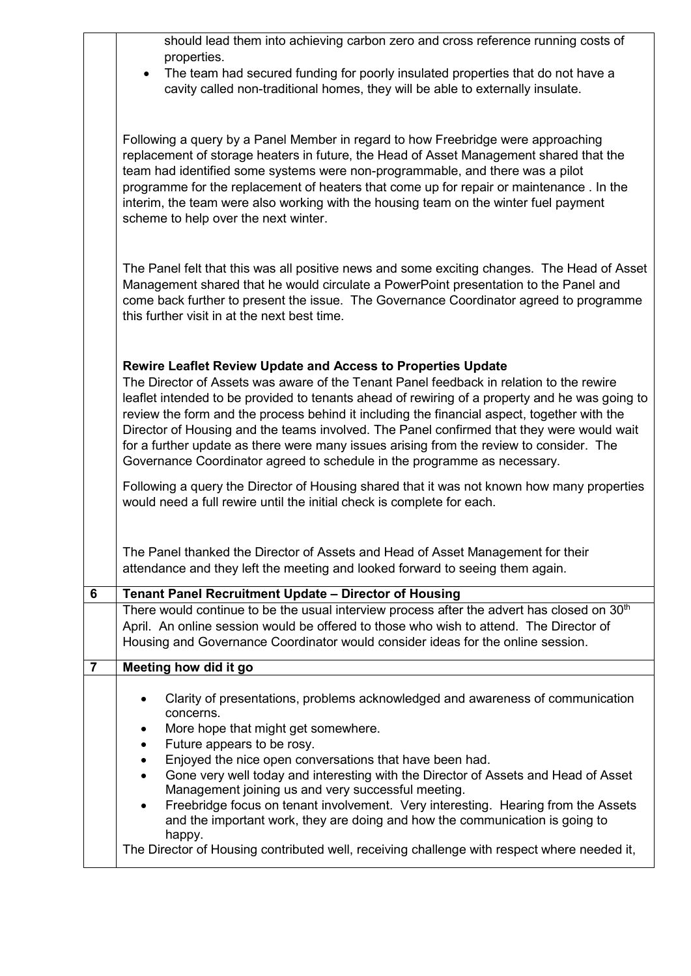|                | should lead them into achieving carbon zero and cross reference running costs of                                                                                                                 |
|----------------|--------------------------------------------------------------------------------------------------------------------------------------------------------------------------------------------------|
|                | properties.<br>The team had secured funding for poorly insulated properties that do not have a<br>$\bullet$                                                                                      |
|                | cavity called non-traditional homes, they will be able to externally insulate.                                                                                                                   |
|                |                                                                                                                                                                                                  |
|                | Following a query by a Panel Member in regard to how Freebridge were approaching<br>replacement of storage heaters in future, the Head of Asset Management shared that the                       |
|                | team had identified some systems were non-programmable, and there was a pilot<br>programme for the replacement of heaters that come up for repair or maintenance. In the                         |
|                | interim, the team were also working with the housing team on the winter fuel payment                                                                                                             |
|                | scheme to help over the next winter.                                                                                                                                                             |
|                | The Panel felt that this was all positive news and some exciting changes. The Head of Asset                                                                                                      |
|                | Management shared that he would circulate a PowerPoint presentation to the Panel and<br>come back further to present the issue. The Governance Coordinator agreed to programme                   |
|                | this further visit in at the next best time.                                                                                                                                                     |
|                |                                                                                                                                                                                                  |
|                | <b>Rewire Leaflet Review Update and Access to Properties Update</b><br>The Director of Assets was aware of the Tenant Panel feedback in relation to the rewire                                   |
|                | leaflet intended to be provided to tenants ahead of rewiring of a property and he was going to                                                                                                   |
|                | review the form and the process behind it including the financial aspect, together with the<br>Director of Housing and the teams involved. The Panel confirmed that they were would wait         |
|                | for a further update as there were many issues arising from the review to consider. The<br>Governance Coordinator agreed to schedule in the programme as necessary.                              |
|                | Following a query the Director of Housing shared that it was not known how many properties                                                                                                       |
|                | would need a full rewire until the initial check is complete for each.                                                                                                                           |
|                | The Panel thanked the Director of Assets and Head of Asset Management for their                                                                                                                  |
|                | attendance and they left the meeting and looked forward to seeing them again.                                                                                                                    |
| 6              | <b>Tenant Panel Recruitment Update - Director of Housing</b>                                                                                                                                     |
|                | There would continue to be the usual interview process after the advert has closed on 30 <sup>th</sup><br>April. An online session would be offered to those who wish to attend. The Director of |
|                | Housing and Governance Coordinator would consider ideas for the online session.                                                                                                                  |
| $\overline{7}$ | Meeting how did it go                                                                                                                                                                            |
|                | Clarity of presentations, problems acknowledged and awareness of communication<br>concerns.                                                                                                      |
|                | More hope that might get somewhere.                                                                                                                                                              |
|                | Future appears to be rosy.<br>Enjoyed the nice open conversations that have been had.                                                                                                            |
|                | Gone very well today and interesting with the Director of Assets and Head of Asset<br>Management joining us and very successful meeting.                                                         |
|                | Freebridge focus on tenant involvement. Very interesting. Hearing from the Assets<br>and the important work, they are doing and how the communication is going to                                |
|                | happy.                                                                                                                                                                                           |
|                | The Director of Housing contributed well, receiving challenge with respect where needed it,                                                                                                      |